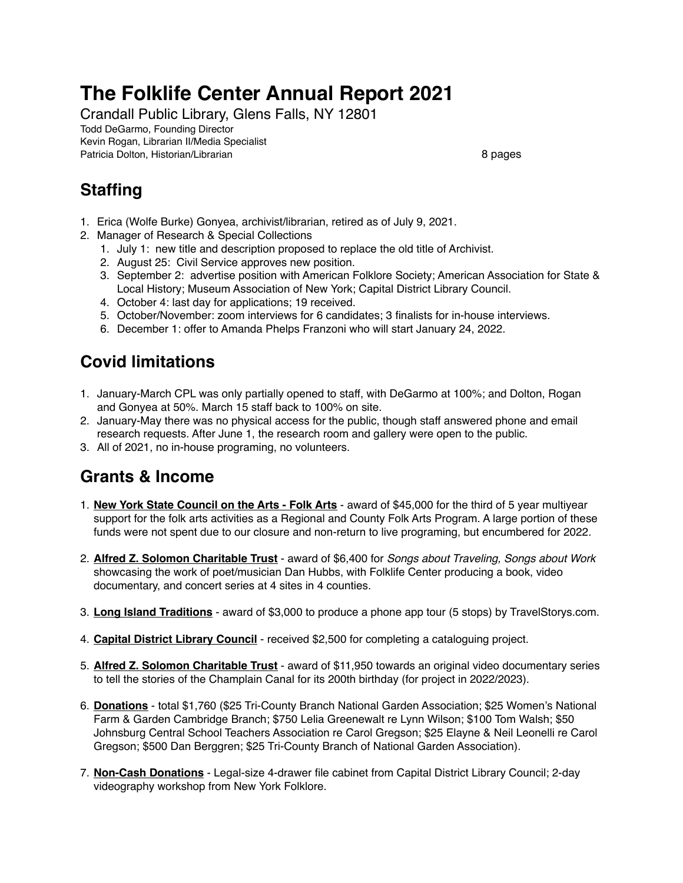# **The Folklife Center Annual Report 2021**

Crandall Public Library, Glens Falls, NY 12801

Todd DeGarmo, Founding Director

Kevin Rogan, Librarian II/Media Specialist Patricia Dolton, Historian/Librarian 8 pages 8 pages

## **Staffing**

- 1. Erica (Wolfe Burke) Gonyea, archivist/librarian, retired as of July 9, 2021.
- 2. Manager of Research & Special Collections
	- 1. July 1: new title and description proposed to replace the old title of Archivist.
	- 2. August 25: Civil Service approves new position.
	- 3. September 2: advertise position with American Folklore Society; American Association for State & Local History; Museum Association of New York; Capital District Library Council.
	- 4. October 4: last day for applications; 19 received.
	- 5. October/November: zoom interviews for 6 candidates; 3 finalists for in-house interviews.
	- 6. December 1: offer to Amanda Phelps Franzoni who will start January 24, 2022.

## **Covid limitations**

- 1. January-March CPL was only partially opened to staff, with DeGarmo at 100%; and Dolton, Rogan and Gonyea at 50%. March 15 staff back to 100% on site.
- 2. January-May there was no physical access for the public, though staff answered phone and email research requests. After June 1, the research room and gallery were open to the public.
- 3. All of 2021, no in-house programing, no volunteers.

## **Grants & Income**

- 1. **New York State Council on the Arts Folk Arts** award of \$45,000 for the third of 5 year multiyear support for the folk arts activities as a Regional and County Folk Arts Program. A large portion of these funds were not spent due to our closure and non-return to live programing, but encumbered for 2022.
- 2. **Alfred Z. Solomon Charitable Trust** award of \$6,400 for *Songs about Traveling, Songs about Work* showcasing the work of poet/musician Dan Hubbs, with Folklife Center producing a book, video documentary, and concert series at 4 sites in 4 counties.
- 3. **Long Island Traditions** award of \$3,000 to produce a phone app tour (5 stops) by TravelStorys.com.
- 4. **Capital District Library Council** received \$2,500 for completing a cataloguing project.
- 5. **Alfred Z. Solomon Charitable Trust** award of \$11,950 towards an original video documentary series to tell the stories of the Champlain Canal for its 200th birthday (for project in 2022/2023).
- 6. **Donations** total \$1,760 (\$25 Tri-County Branch National Garden Association; \$25 Women's National Farm & Garden Cambridge Branch; \$750 Lelia Greenewalt re Lynn Wilson; \$100 Tom Walsh; \$50 Johnsburg Central School Teachers Association re Carol Gregson; \$25 Elayne & Neil Leonelli re Carol Gregson; \$500 Dan Berggren; \$25 Tri-County Branch of National Garden Association).
- 7. **Non-Cash Donations** Legal-size 4-drawer file cabinet from Capital District Library Council; 2-day videography workshop from New York Folklore.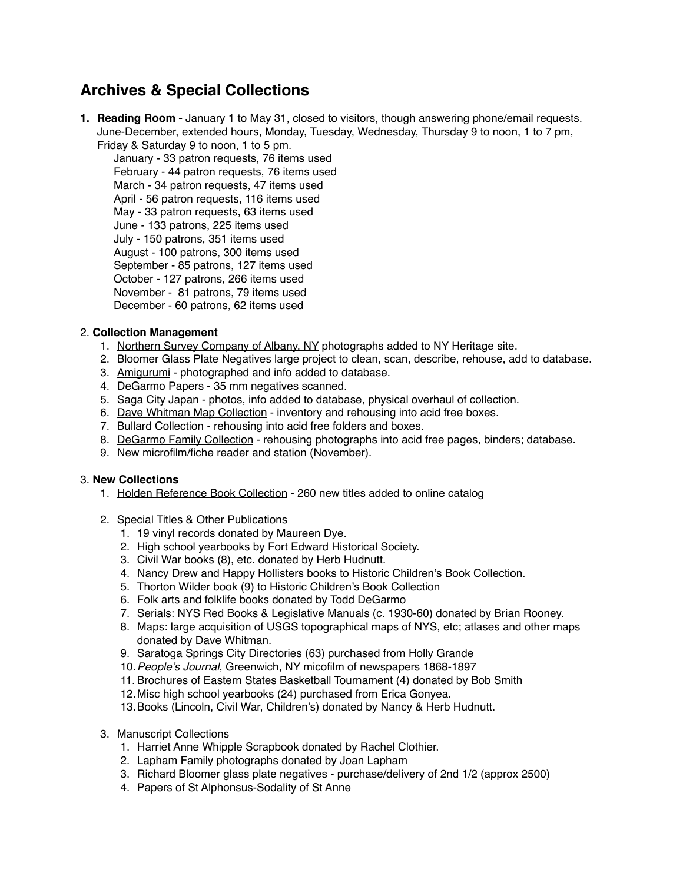### **Archives & Special Collections**

**1. Reading Room -** January 1 to May 31, closed to visitors, though answering phone/email requests. June-December, extended hours, Monday, Tuesday, Wednesday, Thursday 9 to noon, 1 to 7 pm, Friday & Saturday 9 to noon, 1 to 5 pm.

January - 33 patron requests, 76 items used February - 44 patron requests, 76 items used March - 34 patron requests, 47 items used April - 56 patron requests, 116 items used May - 33 patron requests, 63 items used June - 133 patrons, 225 items used July - 150 patrons, 351 items used August - 100 patrons, 300 items used September - 85 patrons, 127 items used October - 127 patrons, 266 items used November - 81 patrons, 79 items used December - 60 patrons, 62 items used

#### 2. **Collection Management**

- 1. Northern Survey Company of Albany, NY photographs added to NY Heritage site.
- 2. Bloomer Glass Plate Negatives large project to clean, scan, describe, rehouse, add to database.
- 3. Amigurumi photographed and info added to database.
- 4. DeGarmo Papers 35 mm negatives scanned.
- 5. Saga City Japan photos, info added to database, physical overhaul of collection.
- 6. Dave Whitman Map Collection inventory and rehousing into acid free boxes.
- 7. Bullard Collection rehousing into acid free folders and boxes.
- 8. DeGarmo Family Collection rehousing photographs into acid free pages, binders; database.
- 9. New microfilm/fiche reader and station (November).

#### 3. **New Collections**

- 1. Holden Reference Book Collection 260 new titles added to online catalog
- 2. Special Titles & Other Publications
	- 1. 19 vinyl records donated by Maureen Dye.
	- 2. High school yearbooks by Fort Edward Historical Society.
	- 3. Civil War books (8), etc. donated by Herb Hudnutt.
	- 4. Nancy Drew and Happy Hollisters books to Historic Children's Book Collection.
	- 5. Thorton Wilder book (9) to Historic Children's Book Collection
	- 6. Folk arts and folklife books donated by Todd DeGarmo
	- 7. Serials: NYS Red Books & Legislative Manuals (c. 1930-60) donated by Brian Rooney.
	- 8. Maps: large acquisition of USGS topographical maps of NYS, etc; atlases and other maps donated by Dave Whitman.
	- 9. Saratoga Springs City Directories (63) purchased from Holly Grande
	- 10.*People's Journal*, Greenwich, NY micofilm of newspapers 1868-1897
	- 11. Brochures of Eastern States Basketball Tournament (4) donated by Bob Smith
	- 12.Misc high school yearbooks (24) purchased from Erica Gonyea.
	- 13.Books (Lincoln, Civil War, Children's) donated by Nancy & Herb Hudnutt.
- 3. Manuscript Collections
	- 1. Harriet Anne Whipple Scrapbook donated by Rachel Clothier.
	- 2. Lapham Family photographs donated by Joan Lapham
	- 3. Richard Bloomer glass plate negatives purchase/delivery of 2nd 1/2 (approx 2500)
	- 4. Papers of St Alphonsus-Sodality of St Anne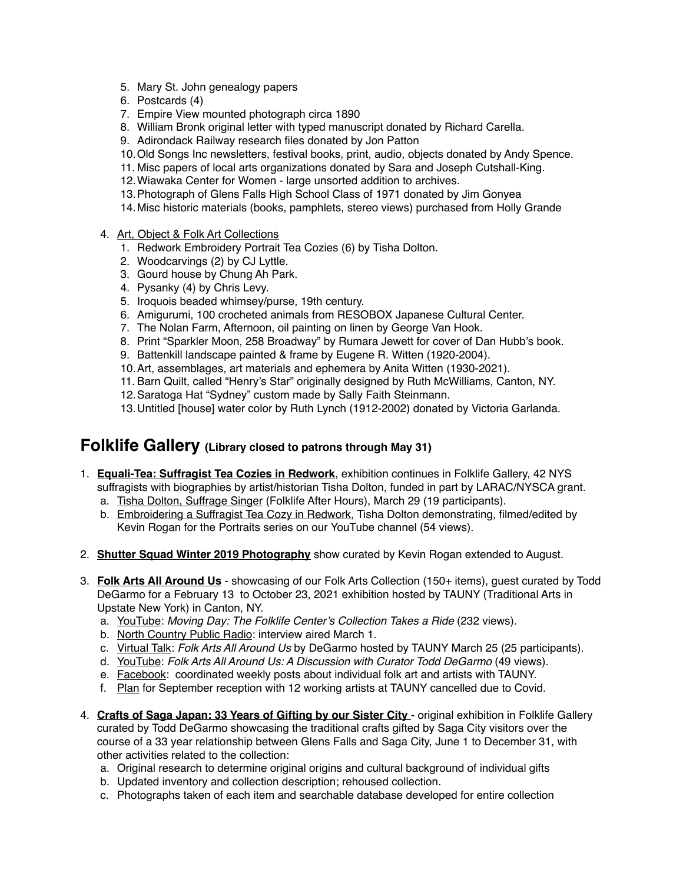- 5. Mary St. John genealogy papers
- 6. Postcards (4)
- 7. Empire View mounted photograph circa 1890
- 8. William Bronk original letter with typed manuscript donated by Richard Carella.
- 9. Adirondack Railway research files donated by Jon Patton
- 10.Old Songs Inc newsletters, festival books, print, audio, objects donated by Andy Spence.
- 11. Misc papers of local arts organizations donated by Sara and Joseph Cutshall-King.
- 12.Wiawaka Center for Women large unsorted addition to archives.
- 13.Photograph of Glens Falls High School Class of 1971 donated by Jim Gonyea
- 14.Misc historic materials (books, pamphlets, stereo views) purchased from Holly Grande
- 4. Art, Object & Folk Art Collections
	- 1. Redwork Embroidery Portrait Tea Cozies (6) by Tisha Dolton.
	- 2. Woodcarvings (2) by CJ Lyttle.
	- 3. Gourd house by Chung Ah Park.
	- 4. Pysanky (4) by Chris Levy.
	- 5. Iroquois beaded whimsey/purse, 19th century.
	- 6. Amigurumi, 100 crocheted animals from RESOBOX Japanese Cultural Center.
	- 7. The Nolan Farm, Afternoon, oil painting on linen by George Van Hook.
	- 8. Print "Sparkler Moon, 258 Broadway" by Rumara Jewett for cover of Dan Hubb's book.
	- 9. Battenkill landscape painted & frame by Eugene R. Witten (1920-2004).
	- 10.Art, assemblages, art materials and ephemera by Anita Witten (1930-2021).
	- 11. Barn Quilt, called "Henry's Star" originally designed by Ruth McWilliams, Canton, NY.
	- 12.Saratoga Hat "Sydney" custom made by Sally Faith Steinmann.
	- 13.Untitled [house] water color by Ruth Lynch (1912-2002) donated by Victoria Garlanda.

### **Folklife Gallery (Library closed to patrons through May 31)**

- 1. **Equali-Tea: Suffragist Tea Cozies in Redwork**, exhibition continues in Folklife Gallery, 42 NYS suffragists with biographies by artist/historian Tisha Dolton, funded in part by LARAC/NYSCA grant.
	- a. Tisha Dolton, Suffrage Singer (Folklife After Hours), March 29 (19 participants).
	- b. Embroidering a Suffragist Tea Cozy in Redwork, Tisha Dolton demonstrating, filmed/edited by Kevin Rogan for the Portraits series on our YouTube channel (54 views).
- 2. **Shutter Squad Winter 2019 Photography** show curated by Kevin Rogan extended to August.
- 3. **Folk Arts All Around Us** showcasing of our Folk Arts Collection (150+ items), guest curated by Todd DeGarmo for a February 13 to October 23, 2021 exhibition hosted by TAUNY (Traditional Arts in Upstate New York) in Canton, NY.
	- a. YouTube: *Moving Day: The Folklife Center's Collection Takes a Ride* (232 views).
	- b. North Country Public Radio: interview aired March 1.
	- c. Virtual Talk: *Folk Arts All Around Us* by DeGarmo hosted by TAUNY March 25 (25 participants).
	- d. YouTube: *Folk Arts All Around Us: A Discussion with Curator Todd DeGarmo* (49 views).
	- e. Facebook: coordinated weekly posts about individual folk art and artists with TAUNY.
	- f. Plan for September reception with 12 working artists at TAUNY cancelled due to Covid.
- 4. **Crafts of Saga Japan: 33 Years of Gifting by our Sister City**  original exhibition in Folklife Gallery curated by Todd DeGarmo showcasing the traditional crafts gifted by Saga City visitors over the course of a 33 year relationship between Glens Falls and Saga City, June 1 to December 31, with other activities related to the collection:
	- a. Original research to determine original origins and cultural background of individual gifts
	- b. Updated inventory and collection description; rehoused collection.
	- c. Photographs taken of each item and searchable database developed for entire collection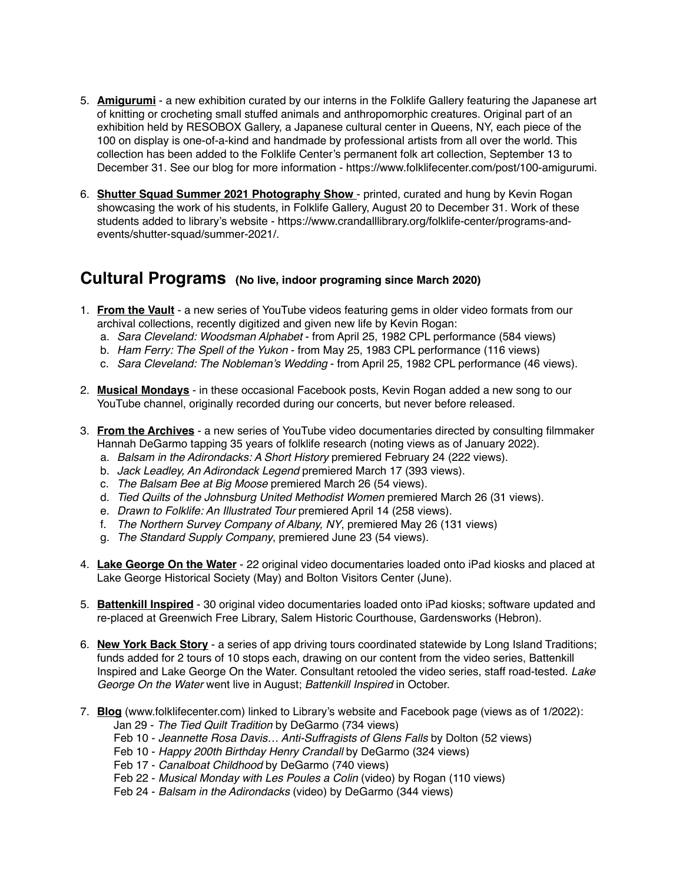- 5. **Amigurumi** a new exhibition curated by our interns in the Folklife Gallery featuring the Japanese art of knitting or crocheting small stuffed animals and anthropomorphic creatures. Original part of an exhibition held by RESOBOX Gallery, a Japanese cultural center in Queens, NY, each piece of the 100 on display is one-of-a-kind and handmade by professional artists from all over the world. This collection has been added to the Folklife Center's permanent folk art collection, September 13 to December 31. See our blog for more information - https://www.folklifecenter.com/post/100-amigurumi.
- 6. **Shutter Squad Summer 2021 Photography Show**  printed, curated and hung by Kevin Rogan showcasing the work of his students, in Folklife Gallery, August 20 to December 31. Work of these students added to library's website - https://www.crandalllibrary.org/folklife-center/programs-andevents/shutter-squad/summer-2021/.

#### **Cultural Programs (No live, indoor programing since March 2020)**

- 1. **From the Vault** a new series of YouTube videos featuring gems in older video formats from our archival collections, recently digitized and given new life by Kevin Rogan:
	- a. *Sara Cleveland: Woodsman Alphabet* from April 25, 1982 CPL performance (584 views)
	- b. *Ham Ferry: The Spell of the Yukon* from May 25, 1983 CPL performance (116 views)
	- c. *Sara Cleveland: The Nobleman's Wedding* from April 25, 1982 CPL performance (46 views).
- 2. **Musical Mondays** in these occasional Facebook posts, Kevin Rogan added a new song to our YouTube channel, originally recorded during our concerts, but never before released.
- 3. **From the Archives** a new series of YouTube video documentaries directed by consulting filmmaker Hannah DeGarmo tapping 35 years of folklife research (noting views as of January 2022).
	- a. *Balsam in the Adirondacks: A Short History* premiered February 24 (222 views).
	- b. *Jack Leadley, An Adirondack Legend* premiered March 17 (393 views).
	- c. *The Balsam Bee at Big Moose* premiered March 26 (54 views).
	- d. *Tied Quilts of the Johnsburg United Methodist Women* premiered March 26 (31 views).
	- e. *Drawn to Folklife: An Illustrated Tour* premiered April 14 (258 views).
	- f. *The Northern Survey Company of Albany, NY*, premiered May 26 (131 views)
	- g. *The Standard Supply Company*, premiered June 23 (54 views).
- 4. **Lake George On the Water** 22 original video documentaries loaded onto iPad kiosks and placed at Lake George Historical Society (May) and Bolton Visitors Center (June).
- 5. **Battenkill Inspired** 30 original video documentaries loaded onto iPad kiosks; software updated and re-placed at Greenwich Free Library, Salem Historic Courthouse, Gardensworks (Hebron).
- 6. **New York Back Story** a series of app driving tours coordinated statewide by Long Island Traditions; funds added for 2 tours of 10 stops each, drawing on our content from the video series, Battenkill Inspired and Lake George On the Water. Consultant retooled the video series, staff road-tested. *Lake George On the Water* went live in August; *Battenkill Inspired* in October.
- 7. **Blog** [\(www.folklifecenter.com](http://www.folklifecenter.com)) linked to Library's website and Facebook page (views as of 1/2022): Jan 29 - *The Tied Quilt Tradition* by DeGarmo (734 views)
	- Feb 10 *Jeannette Rosa Davis… Anti-Suffragists of Glens Falls* by Dolton (52 views)
	- Feb 10 *Happy 200th Birthday Henry Crandall* by DeGarmo (324 views)
	- Feb 17 *Canalboat Childhood* by DeGarmo (740 views)
	- Feb 22 *Musical Monday with Les Poules a Colin* (video) by Rogan (110 views)
	- Feb 24 *Balsam in the Adirondacks* (video) by DeGarmo (344 views)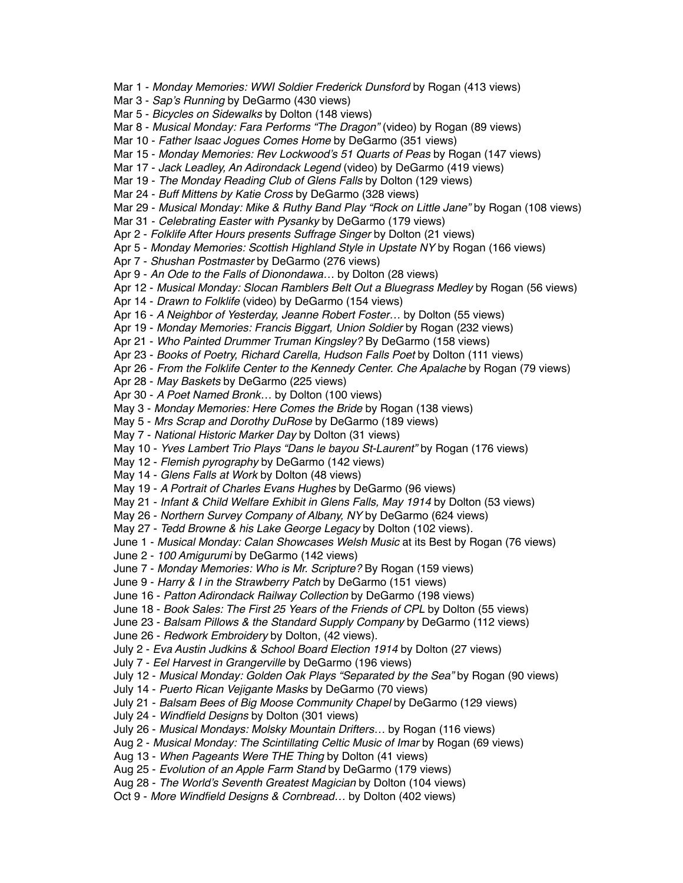Mar 1 - *Monday Memories: WWI Soldier Frederick Dunsford* by Rogan (413 views) Mar 3 - *Sap's Running* by DeGarmo (430 views) Mar 5 - *Bicycles on Sidewalks* by Dolton (148 views) Mar 8 - *Musical Monday: Fara Performs "The Dragon"* (video) by Rogan (89 views) Mar 10 - *Father Isaac Jogues Comes Home* by DeGarmo (351 views) Mar 15 - *Monday Memories: Rev Lockwood's 51 Quarts of Peas* by Rogan (147 views) Mar 17 - *Jack Leadley, An Adirondack Legend* (video) by DeGarmo (419 views) Mar 19 - *The Monday Reading Club of Glens Falls* by Dolton (129 views) Mar 24 - *Buff Mittens by Katie Cross* by DeGarmo (328 views) Mar 29 - *Musical Monday: Mike & Ruthy Band Play "Rock on Little Jane"* by Rogan (108 views) Mar 31 - *Celebrating Easter with Pysanky* by DeGarmo (179 views) Apr 2 - *Folklife After Hours presents Suffrage Singer* by Dolton (21 views) Apr 5 - *Monday Memories: Scottish Highland Style in Upstate NY* by Rogan (166 views) Apr 7 - *Shushan Postmaster* by DeGarmo (276 views) Apr 9 - *An Ode to the Falls of Dionondawa…* by Dolton (28 views) Apr 12 - *Musical Monday: Slocan Ramblers Belt Out a Bluegrass Medley* by Rogan (56 views) Apr 14 - *Drawn to Folklife* (video) by DeGarmo (154 views) Apr 16 - *A Neighbor of Yesterday, Jeanne Robert Foster…* by Dolton (55 views) Apr 19 - *Monday Memories: Francis Biggart, Union Soldier* by Rogan (232 views) Apr 21 - *Who Painted Drummer Truman Kingsley?* By DeGarmo (158 views) Apr 23 - *Books of Poetry, Richard Carella, Hudson Falls Poet* by Dolton (111 views) Apr 26 - *From the Folklife Center to the Kennedy Center. Che Apalache* by Rogan (79 views) Apr 28 - *May Baskets* by DeGarmo (225 views) Apr 30 - *A Poet Named Bronk…* by Dolton (100 views) May 3 - *Monday Memories: Here Comes the Bride* by Rogan (138 views) May 5 - *Mrs Scrap and Dorothy DuRose* by DeGarmo (189 views) May 7 - *National Historic Marker Day* by Dolton (31 views) May 10 - *Yves Lambert Trio Plays "Dans le bayou St-Laurent"* by Rogan (176 views) May 12 - *Flemish pyrography* by DeGarmo (142 views) May 14 - *Glens Falls at Work* by Dolton (48 views) May 19 - *A Portrait of Charles Evans Hughes* by DeGarmo (96 views) May 21 - *Infant & Child Welfare Exhibit in Glens Falls, May 1914* by Dolton (53 views) May 26 - *Northern Survey Company of Albany, NY* by DeGarmo (624 views) May 27 - *Tedd Browne & his Lake George Legacy* by Dolton (102 views). June 1 - *Musical Monday: Calan Showcases Welsh Music* at its Best by Rogan (76 views) June 2 - *100 Amigurumi* by DeGarmo (142 views) June 7 - *Monday Memories: Who is Mr. Scripture?* By Rogan (159 views) June 9 - *Harry & I in the Strawberry Patch* by DeGarmo (151 views) June 16 - *Patton Adirondack Railway Collection* by DeGarmo (198 views) June 18 - *Book Sales: The First 25 Years of the Friends of CPL* by Dolton (55 views) June 23 - *Balsam Pillows & the Standard Supply Company* by DeGarmo (112 views) June 26 - *Redwork Embroidery* by Dolton, (42 views). July 2 - *Eva Austin Judkins & School Board Election 1914* by Dolton (27 views) July 7 - *Eel Harvest in Grangerville* by DeGarmo (196 views) July 12 - *Musical Monday: Golden Oak Plays "Separated by the Sea"* by Rogan (90 views) July 14 - *Puerto Rican Vejigante Masks* by DeGarmo (70 views) July 21 - *Balsam Bees of Big Moose Community Chapel* by DeGarmo (129 views) July 24 - *Windfield Designs* by Dolton (301 views) July 26 - *Musical Mondays: Molsky Mountain Drifters…* by Rogan (116 views) Aug 2 - *Musical Monday: The Scintillating Celtic Music of Imar* by Rogan (69 views) Aug 13 - *When Pageants Were THE Thing* by Dolton (41 views) Aug 25 - *Evolution of an Apple Farm Stand* by DeGarmo (179 views) Aug 28 - *The World's Seventh Greatest Magician* by Dolton (104 views) Oct 9 - *More Windfield Designs & Cornbread…* by Dolton (402 views)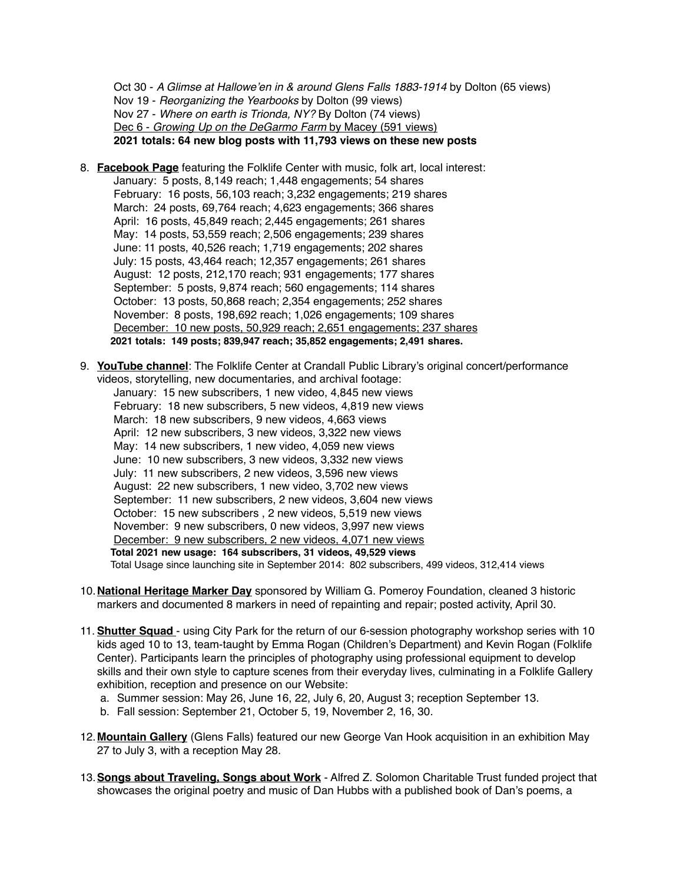Oct 30 - *A Glimse at Hallowe'en in & around Glens Falls 1883-1914* by Dolton (65 views) Nov 19 - *Reorganizing the Yearbooks* by Dolton (99 views) Nov 27 - *Where on earth is Trionda, NY?* By Dolton (74 views) Dec 6 - *Growing Up on the DeGarmo Farm* by Macey (591 views) **2021 totals: 64 new blog posts with 11,793 views on these new posts** 

- 8. **Facebook Page** featuring the Folklife Center with music, folk art, local interest: January: 5 posts, 8,149 reach; 1,448 engagements; 54 shares February: 16 posts, 56,103 reach; 3,232 engagements; 219 shares March: 24 posts, 69,764 reach; 4,623 engagements; 366 shares April: 16 posts, 45,849 reach; 2,445 engagements; 261 shares May: 14 posts, 53,559 reach; 2,506 engagements; 239 shares June: 11 posts, 40,526 reach; 1,719 engagements; 202 shares July: 15 posts, 43,464 reach; 12,357 engagements; 261 shares August: 12 posts, 212,170 reach; 931 engagements; 177 shares September: 5 posts, 9,874 reach; 560 engagements; 114 shares October: 13 posts, 50,868 reach; 2,354 engagements; 252 shares November: 8 posts, 198,692 reach; 1,026 engagements; 109 shares December: 10 new posts, 50,929 reach; 2,651 engagements; 237 shares **2021 totals: 149 posts; 839,947 reach; 35,852 engagements; 2,491 shares.**
- 9. **YouTube channel**: The Folklife Center at Crandall Public Library's original concert/performance videos, storytelling, new documentaries, and archival footage: January: 15 new subscribers, 1 new video, 4,845 new views February: 18 new subscribers, 5 new videos, 4,819 new views March: 18 new subscribers, 9 new videos, 4,663 views April: 12 new subscribers, 3 new videos, 3,322 new views May: 14 new subscribers, 1 new video, 4,059 new views June: 10 new subscribers, 3 new videos, 3,332 new views July: 11 new subscribers, 2 new videos, 3,596 new views August: 22 new subscribers, 1 new video, 3,702 new views September: 11 new subscribers, 2 new videos, 3,604 new views October: 15 new subscribers , 2 new videos, 5,519 new views November: 9 new subscribers, 0 new videos, 3,997 new views December: 9 new subscribers, 2 new videos, 4,071 new views **Total 2021 new usage: 164 subscribers, 31 videos, 49,529 views** Total Usage since launching site in September 2014: 802 subscribers, 499 videos, 312,414 views
- 10.**National Heritage Marker Day** sponsored by William G. Pomeroy Foundation, cleaned 3 historic markers and documented 8 markers in need of repainting and repair; posted activity, April 30.
- 11. **Shutter Squad**  using City Park for the return of our 6-session photography workshop series with 10 kids aged 10 to 13, team-taught by Emma Rogan (Children's Department) and Kevin Rogan (Folklife Center). Participants learn the principles of photography using professional equipment to develop skills and their own style to capture scenes from their everyday lives, culminating in a Folklife Gallery exhibition, reception and presence on our Website:
	- a. Summer session: May 26, June 16, 22, July 6, 20, August 3; reception September 13.
	- b. Fall session: September 21, October 5, 19, November 2, 16, 30.
- 12.**Mountain Gallery** (Glens Falls) featured our new George Van Hook acquisition in an exhibition May 27 to July 3, with a reception May 28.
- 13.**Songs about Traveling, Songs about Work** Alfred Z. Solomon Charitable Trust funded project that showcases the original poetry and music of Dan Hubbs with a published book of Dan's poems, a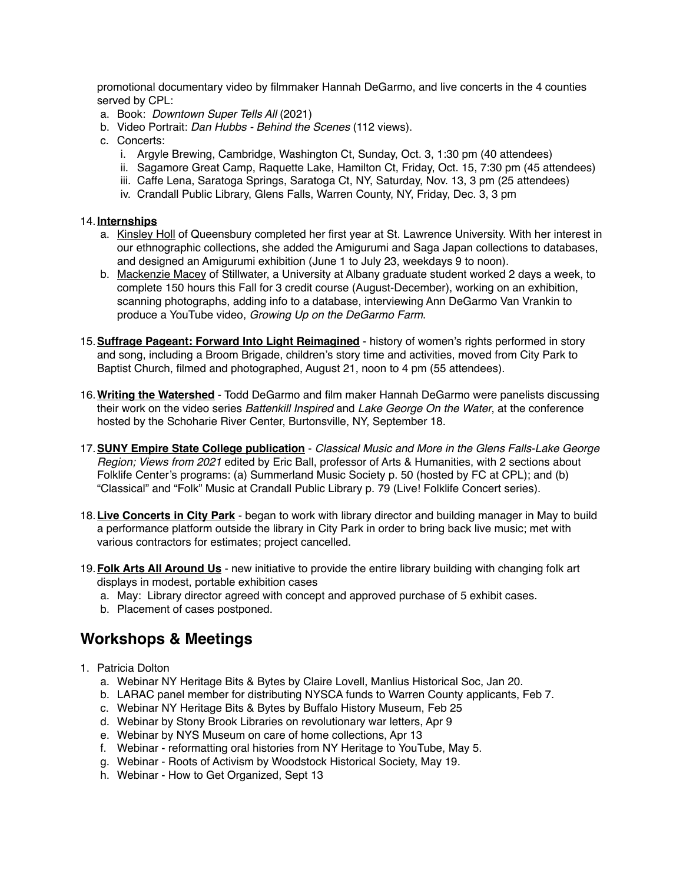promotional documentary video by filmmaker Hannah DeGarmo, and live concerts in the 4 counties served by CPL:

- a. Book: *Downtown Super Tells All* (2021)
- b. Video Portrait: *Dan Hubbs Behind the Scenes* (112 views).
- c. Concerts:
	- i. Argyle Brewing, Cambridge, Washington Ct, Sunday, Oct. 3, 1:30 pm (40 attendees)
	- ii. Sagamore Great Camp, Raquette Lake, Hamilton Ct, Friday, Oct. 15, 7:30 pm (45 attendees)
	- iii. Caffe Lena, Saratoga Springs, Saratoga Ct, NY, Saturday, Nov. 13, 3 pm (25 attendees)
	- iv. Crandall Public Library, Glens Falls, Warren County, NY, Friday, Dec. 3, 3 pm

#### 14.**Internships**

- a. Kinsley Holl of Queensbury completed her first year at St. Lawrence University. With her interest in our ethnographic collections, she added the Amigurumi and Saga Japan collections to databases, and designed an Amigurumi exhibition (June 1 to July 23, weekdays 9 to noon).
- b. Mackenzie Macey of Stillwater, a University at Albany graduate student worked 2 days a week, to complete 150 hours this Fall for 3 credit course (August-December), working on an exhibition, scanning photographs, adding info to a database, interviewing Ann DeGarmo Van Vrankin to produce a YouTube video, *Growing Up on the DeGarmo Farm*.
- 15.**Suffrage Pageant: Forward Into Light Reimagined** history of women's rights performed in story and song, including a Broom Brigade, children's story time and activities, moved from City Park to Baptist Church, filmed and photographed, August 21, noon to 4 pm (55 attendees).
- 16.**Writing the Watershed** Todd DeGarmo and film maker Hannah DeGarmo were panelists discussing their work on the video series *Battenkill Inspired* and *Lake George On the Water*, at the conference hosted by the Schoharie River Center, Burtonsville, NY, September 18.
- 17.**SUNY Empire State College publication** *Classical Music and More in the Glens Falls-Lake George Region; Views from 2021* edited by Eric Ball, professor of Arts & Humanities, with 2 sections about Folklife Center's programs: (a) Summerland Music Society p. 50 (hosted by FC at CPL); and (b) "Classical" and "Folk" Music at Crandall Public Library p. 79 (Live! Folklife Concert series).
- 18.**Live Concerts in City Park** began to work with library director and building manager in May to build a performance platform outside the library in City Park in order to bring back live music; met with various contractors for estimates; project cancelled.
- 19.**Folk Arts All Around Us** new initiative to provide the entire library building with changing folk art displays in modest, portable exhibition cases
	- a. May: Library director agreed with concept and approved purchase of 5 exhibit cases.
	- b. Placement of cases postponed.

### **Workshops & Meetings**

- 1. Patricia Dolton
	- a. Webinar NY Heritage Bits & Bytes by Claire Lovell, Manlius Historical Soc, Jan 20.
	- b. LARAC panel member for distributing NYSCA funds to Warren County applicants, Feb 7.
	- c. Webinar NY Heritage Bits & Bytes by Buffalo History Museum, Feb 25
	- d. Webinar by Stony Brook Libraries on revolutionary war letters, Apr 9
	- e. Webinar by NYS Museum on care of home collections, Apr 13
	- f. Webinar reformatting oral histories from NY Heritage to YouTube, May 5.
	- g. Webinar Roots of Activism by Woodstock Historical Society, May 19.
	- h. Webinar How to Get Organized, Sept 13